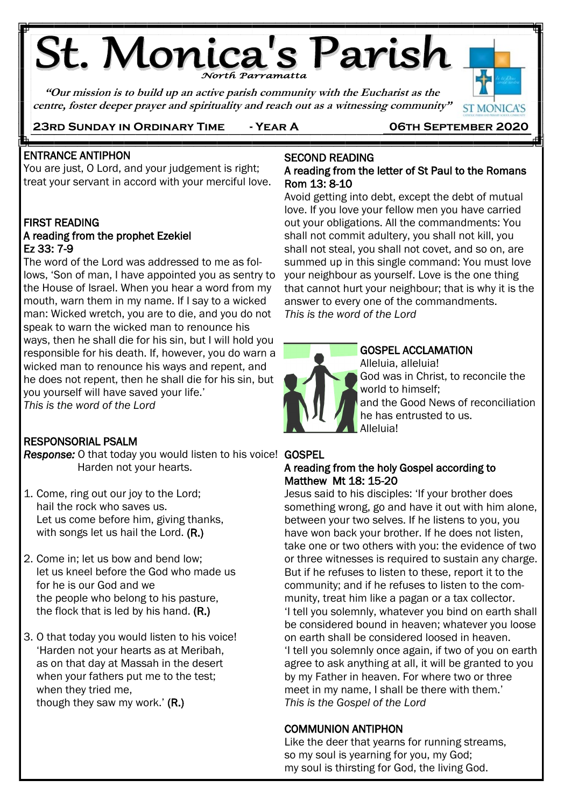# **St. Monica's Parish**

**"Our mission is to build up an active parish community with the Eucharist as the centre, foster deeper prayer and spirituality and reach out as a witnessing community"**

**23rd Sunday in Ordinary Time - Year A 06th September 2020**

**ST MONICA'S** 

#### ì ENTRANCE ANTIPHON

È

You are just, O Lord, and your judgement is right; treat your servant in accord with your merciful love.

#### FIRST READING A reading from the prophet Ezekiel Ez 33: 7-9

The word of the Lord was addressed to me as follows, 'Son of man, I have appointed you as sentry to the House of Israel. When you hear a word from my mouth, warn them in my name. If I say to a wicked man: Wicked wretch, you are to die, and you do not speak to warn the wicked man to renounce his ways, then he shall die for his sin, but I will hold you responsible for his death. If, however, you do warn a wicked man to renounce his ways and repent, and he does not repent, then he shall die for his sin, but you yourself will have saved your life.' *This is the word of the Lord*  $\overline{a}$ 

#### RESPONSORIAL PSALM

*Response:* O that today you would listen to his voice! GOSPEL Harden not your hearts.

- 1. Come, ring out our joy to the Lord; hail the rock who saves us. Let us come before him, giving thanks, with songs let us hail the Lord. (R.)
- 2. Come in; let us bow and bend low; let us kneel before the God who made us for he is our God and we the people who belong to his pasture, the flock that is led by his hand. (R.)
- 3. O that today you would listen to his voice! 'Harden not your hearts as at Meribah, as on that day at Massah in the desert when your fathers put me to the test; when they tried me, though they saw my work.' (R.)

#### SECOND READING A reading from the letter of St Paul to the Romans Rom 13: 8-10

Avoid getting into debt, except the debt of mutual love. If you love your fellow men you have carried out your obligations. All the commandments: You shall not commit adultery, you shall not kill, you shall not steal, you shall not covet, and so on, are summed up in this single command: You must love your neighbour as yourself. Love is the one thing that cannot hurt your neighbour; that is why it is the answer to every one of the commandments. *This is the word of the Lord*



#### GOSPEL ACCLAMATION

Alleluia, alleluia! God was in Christ, to reconcile the world to himself; and the Good News of reconciliation he has entrusted to us. Alleluia!

#### A reading from the holy Gospel according to Matthew Mt 18: 15-20

Jesus said to his disciples: 'If your brother does something wrong, go and have it out with him alone, between your two selves. If he listens to you, you have won back your brother. If he does not listen, take one or two others with you: the evidence of two or three witnesses is required to sustain any charge. But if he refuses to listen to these, report it to the community; and if he refuses to listen to the community, treat him like a pagan or a tax collector. 'I tell you solemnly, whatever you bind on earth shall be considered bound in heaven; whatever you loose on earth shall be considered loosed in heaven. 'I tell you solemnly once again, if two of you on earth agree to ask anything at all, it will be granted to you by my Father in heaven. For where two or three meet in my name, I shall be there with them.' *This is the Gospel of the Lord*

#### COMMUNION ANTIPHON

Like the deer that yearns for running streams, so my soul is yearning for you, my God; my soul is thirsting for God, the living God.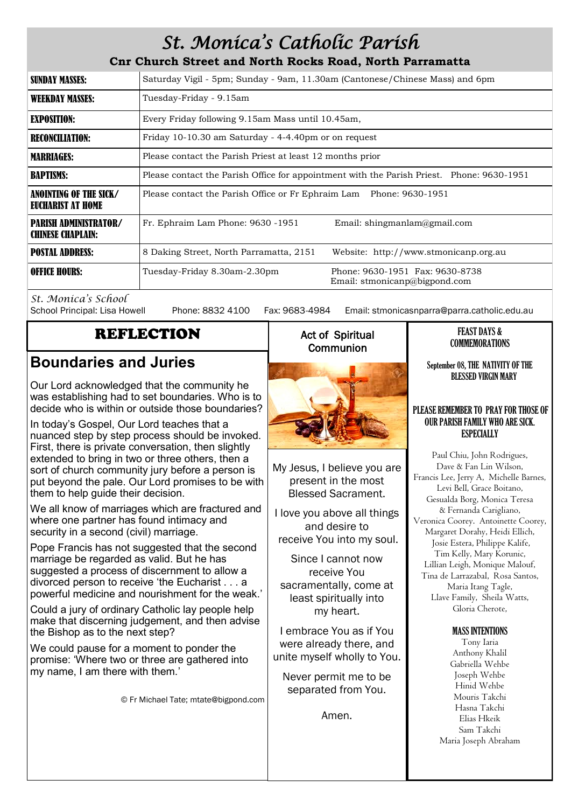# *St. Monica's Catholic Parish*

**Cnr Church Street and North Rocks Road, North Parramatta**

| SUNDAY MASSES:                                           | Saturday Vigil - 5pm; Sunday - 9am, 11.30am (Cantonese/Chinese Mass) and 6pm                     |
|----------------------------------------------------------|--------------------------------------------------------------------------------------------------|
| <b>WEEKDAY MASSES:</b>                                   | Tuesday-Friday - 9.15am                                                                          |
| <b>EXPOSITION:</b>                                       | Every Friday following 9.15am Mass until 10.45am,                                                |
| <b>RECONCILIATION:</b>                                   | Friday 10-10.30 am Saturday - 4-4.40pm or on request                                             |
| <b>MARRIAGES:</b>                                        | Please contact the Parish Priest at least 12 months prior                                        |
| <b>BAPTISMS:</b>                                         | Please contact the Parish Office for appointment with the Parish Priest. Phone: 9630-1951        |
| ANOINTING OF THE SICK/<br>EUCHARIST AT HOME              | Please contact the Parish Office or Fr Ephraim Lam Phone: 9630-1951                              |
| <b>PARISH ADMINISTRATOR/</b><br><b>CHINESE CHAPLAIN:</b> | Fr. Ephraim Lam Phone: 9630 -1951<br>Email: shingmanlam@gmail.com                                |
| <b>POSTAL ADDRESS:</b>                                   | 8 Daking Street, North Parramatta, 2151<br>Website: http://www.stmonicanp.org.au                 |
| <b>OFFICE HOURS:</b>                                     | Phone: 9630-1951 Fax: 9630-8738<br>Tuesday-Friday 8.30am-2.30pm<br>Email: stmonicanp@bigpond.com |

*St. Monica's School*

Phone: 8832 4100 Fax: 9683-4984 Email: stmonicasnparra@parra.catholic.edu.au

### REFLECTION

## **Boundaries and Juries**

Our Lord acknowledged that the community he was establishing had to set boundaries. Who is to decide who is within or outside those boundaries?

In today's Gospel, Our Lord teaches that a nuanced step by step process should be invoked. First, there is private conversation, then slightly extended to bring in two or three others, then a sort of church community jury before a person is put beyond the pale. Our Lord promises to be with them to help guide their decision.

We all know of marriages which are fractured and where one partner has found intimacy and security in a second (civil) marriage.

Pope Francis has not suggested that the second marriage be regarded as valid. But he has suggested a process of discernment to allow a divorced person to receive 'the Eucharist . . . a powerful medicine and nourishment for the weak.'

Could a jury of ordinary Catholic lay people help make that discerning judgement, and then advise the Bishop as to the next step?

We could pause for a moment to ponder the promise: 'Where two or three are gathered into my name, I am there with them.'

© Fr Michael Tate; mtate@bigpond.com

#### Act of Spiritual **Communion**



My Jesus, I believe you are present in the most Blessed Sacrament.

I love you above all things and desire to receive You into my soul.

Since I cannot now receive You sacramentally, come at least spiritually into my heart.

I embrace You as if You were already there, and unite myself wholly to You.

Never permit me to be separated from You.

Amen.

#### FEAST DAYS & **COMMEMORATIONS**

September 08, THE NATIVITY OF THE BLESSED VIRGIN MARY

#### PLEASE REMEMBER TO PRAY FOR THOSE OF OUR PARISH FAMILY WHO ARE SICK. ESPECIALLY

Paul Chiu, John Rodrigues, Dave & Fan Lin Wilson, Francis Lee, Jerry A, Michelle Barnes, Levi Bell, Grace Boitano, Gesualda Borg, Monica Teresa & Fernanda Carigliano, Veronica Coorey. Antoinette Coorey, Margaret Dorahy, Heidi Ellich, Josie Estera, Philippe Kalife, Tim Kelly, Mary Korunic, Lillian Leigh, Monique Malouf, Tina de Larrazabal, Rosa Santos, Maria Itang Tagle, Llave Family, Sheila Watts, Gloria Cherote,

#### MASS INTENTIONS

Tony Iaria Anthony Khalil Gabriella Wehbe Joseph Wehbe Hinid Wehbe Mouris Takchi Hasna Takchi Elias Hkeik Sam Takchi Maria Joseph Abraham